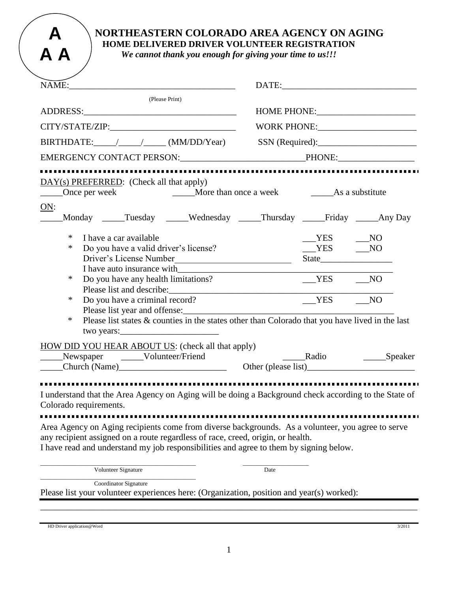## **NORTHEASTERN COLORADO AREA AGENCY ON AGING HOME DELIVERED DRIVER VOLUNTEER REGISTRATION**

*We cannot thank you enough for giving your time to us!!!*

| NAME:                                                                                                                                                                                                                                                                                                                                                                                                                                                | DATE: New York Street, and the street of the street of the street of the street of the street of the street of the street of the street of the street of the street of the street of the street of the street of the street of |                      |
|------------------------------------------------------------------------------------------------------------------------------------------------------------------------------------------------------------------------------------------------------------------------------------------------------------------------------------------------------------------------------------------------------------------------------------------------------|--------------------------------------------------------------------------------------------------------------------------------------------------------------------------------------------------------------------------------|----------------------|
| (Please Print)                                                                                                                                                                                                                                                                                                                                                                                                                                       |                                                                                                                                                                                                                                |                      |
|                                                                                                                                                                                                                                                                                                                                                                                                                                                      |                                                                                                                                                                                                                                |                      |
|                                                                                                                                                                                                                                                                                                                                                                                                                                                      |                                                                                                                                                                                                                                |                      |
| BIRTHDATE: / / / (MM/DD/Year) SSN (Required):                                                                                                                                                                                                                                                                                                                                                                                                        |                                                                                                                                                                                                                                |                      |
|                                                                                                                                                                                                                                                                                                                                                                                                                                                      |                                                                                                                                                                                                                                |                      |
|                                                                                                                                                                                                                                                                                                                                                                                                                                                      |                                                                                                                                                                                                                                |                      |
| DAY(s) PREFERRED: (Check all that apply)                                                                                                                                                                                                                                                                                                                                                                                                             |                                                                                                                                                                                                                                |                      |
| ON:<br>Monday _____Tuesday _____Wednesday _____Thursday _____Friday _____Any Day                                                                                                                                                                                                                                                                                                                                                                     |                                                                                                                                                                                                                                |                      |
| $\ast$<br>I have a car available<br>Do you have a valid driver's license?<br>∗<br>Driver's License Number<br>I have auto insurance with                                                                                                                                                                                                                                                                                                              |                                                                                                                                                                                                                                | $YES$ NO<br>$YES$ NO |
| ∗<br>Do you have any health limitations?<br>Do you have a criminal record?<br>∗                                                                                                                                                                                                                                                                                                                                                                      |                                                                                                                                                                                                                                | $YES$ NO<br>$YES$ NO |
| Please list year and offense:<br>$\ast$<br>Please list states & counties in the states other than Colorado that you have lived in the last<br>two years: $\frac{1}{2}$ = $\frac{1}{2}$ = $\frac{1}{2}$ = $\frac{1}{2}$ = $\frac{1}{2}$ = $\frac{1}{2}$ = $\frac{1}{2}$ = $\frac{1}{2}$ = $\frac{1}{2}$ = $\frac{1}{2}$ = $\frac{1}{2}$ = $\frac{1}{2}$ = $\frac{1}{2}$ = $\frac{1}{2}$ = $\frac{1}{2}$ = $\frac{1}{2}$ = $\frac{1}{2}$ = $\frac{1}{$ |                                                                                                                                                                                                                                |                      |
| <b>HOW DID YOU HEAR ABOUT US:</b> (check all that apply)<br>Newspaper _____Volunteer/Friend<br>Church (Name)<br>Church (Name)<br>Cher (please list)                                                                                                                                                                                                                                                                                                  | Radio                                                                                                                                                                                                                          | ______Speaker        |
|                                                                                                                                                                                                                                                                                                                                                                                                                                                      |                                                                                                                                                                                                                                |                      |
| I understand that the Area Agency on Aging will be doing a Background check according to the State of<br>Colorado requirements.                                                                                                                                                                                                                                                                                                                      |                                                                                                                                                                                                                                |                      |
| Area Agency on Aging recipients come from diverse backgrounds. As a volunteer, you agree to serve<br>any recipient assigned on a route regardless of race, creed, origin, or health.<br>I have read and understand my job responsibilities and agree to them by signing below.                                                                                                                                                                       |                                                                                                                                                                                                                                |                      |
| Volunteer Signature                                                                                                                                                                                                                                                                                                                                                                                                                                  | Date                                                                                                                                                                                                                           |                      |

Please list your volunteer experiences here: (Organization, position and year(s) worked):

| HD Driver application@Word                                                                                                                                                                                                            | 3/2011 |
|---------------------------------------------------------------------------------------------------------------------------------------------------------------------------------------------------------------------------------------|--------|
| $\mathbf{r}$ and $\mathbf{r}$ are the contract of the contract of the contract of the contract of the contract of the contract of the contract of the contract of the contract of the contract of the contract of the contract of the |        |

**A**

**A A**

\_\_\_\_\_\_\_\_\_\_\_\_\_\_\_\_\_\_\_\_\_\_\_\_\_\_\_\_\_\_\_\_\_\_\_\_\_\_\_\_\_\_\_\_\_\_\_\_\_\_\_\_\_\_\_\_\_\_\_\_\_\_\_\_\_\_\_\_\_\_\_\_\_\_\_\_\_\_\_\_\_\_\_\_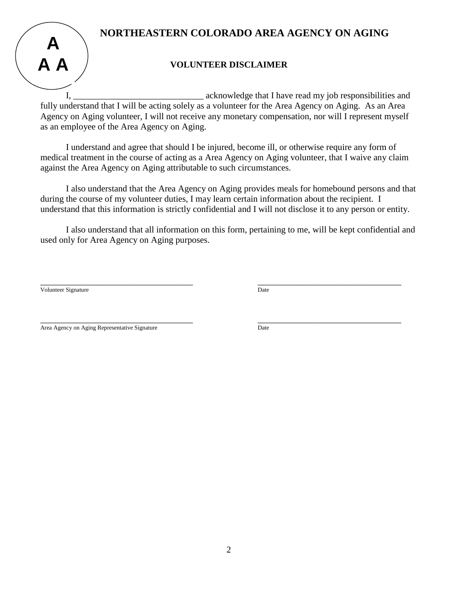# **NORTHEASTERN COLORADO AREA AGENCY ON AGING**



### **VOLUNTEER DISCLAIMER**

I, acknowledge that I have read my job responsibilities and fully understand that I will be acting solely as a volunteer for the Area Agency on Aging. As an Area Agency on Aging volunteer, I will not receive any monetary compensation, nor will I represent myself as an employee of the Area Agency on Aging.

I understand and agree that should I be injured, become ill, or otherwise require any form of medical treatment in the course of acting as a Area Agency on Aging volunteer, that I waive any claim against the Area Agency on Aging attributable to such circumstances.

I also understand that the Area Agency on Aging provides meals for homebound persons and that during the course of my volunteer duties, I may learn certain information about the recipient. I understand that this information is strictly confidential and I will not disclose it to any person or entity.

I also understand that all information on this form, pertaining to me, will be kept confidential and used only for Area Agency on Aging purposes.

Volunteer Signature Date

\_\_\_\_\_\_\_\_\_\_\_\_\_\_\_\_\_\_\_\_\_\_\_\_\_\_\_\_\_\_\_\_\_\_ \_\_\_\_\_\_\_\_\_\_\_\_\_\_\_\_\_\_\_\_\_\_\_\_\_\_\_\_\_\_\_\_

\_\_\_\_\_\_\_\_\_\_\_\_\_\_\_\_\_\_\_\_\_\_\_\_\_\_\_\_\_\_\_\_\_\_ \_\_\_\_\_\_\_\_\_\_\_\_\_\_\_\_\_\_\_\_\_\_\_\_\_\_\_\_\_\_\_\_ Area Agency on Aging Representative Signature **Date** Date